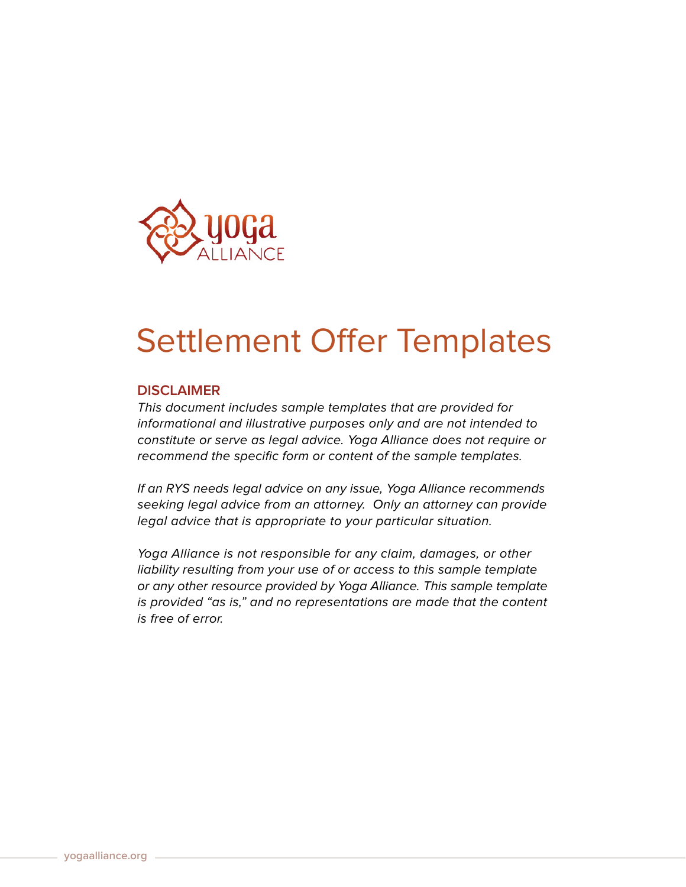

## Settlement Offer Templates

## **DISCLAIMER**

This document includes sample templates that are provided for informational and illustrative purposes only and are not intended to constitute or serve as legal advice. Yoga Alliance does not require or recommend the specific form or content of the sample templates.

If an RYS needs legal advice on any issue, Yoga Alliance recommends seeking legal advice from an attorney. Only an attorney can provide legal advice that is appropriate to your particular situation.

Yoga Alliance is not responsible for any claim, damages, or other liability resulting from your use of or access to this sample template or any other resource provided by Yoga Alliance. This sample template is provided "as is," and no representations are made that the content is free of error.